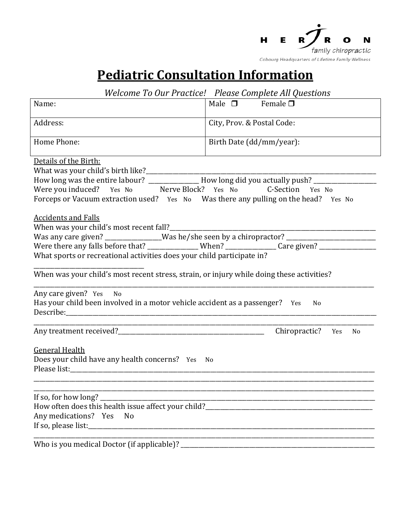

## **Pediatric Consultation Information**

| Welcome To Our Practice! Please Complete All Questions                                                                                                                                                                                                                                                                                                                                                                                                                                                                                                                                                                                                                                                                                                                                               |                                                              |
|------------------------------------------------------------------------------------------------------------------------------------------------------------------------------------------------------------------------------------------------------------------------------------------------------------------------------------------------------------------------------------------------------------------------------------------------------------------------------------------------------------------------------------------------------------------------------------------------------------------------------------------------------------------------------------------------------------------------------------------------------------------------------------------------------|--------------------------------------------------------------|
| Name:                                                                                                                                                                                                                                                                                                                                                                                                                                                                                                                                                                                                                                                                                                                                                                                                | Male $\square$<br>Female $\square$                           |
| Address:                                                                                                                                                                                                                                                                                                                                                                                                                                                                                                                                                                                                                                                                                                                                                                                             | City, Prov. & Postal Code:                                   |
| Home Phone:                                                                                                                                                                                                                                                                                                                                                                                                                                                                                                                                                                                                                                                                                                                                                                                          | Birth Date (dd/mm/year):                                     |
| Details of the Birth:<br>What was your child's birth like?<br>How long was the entire labour? _______________How long did you actually push? _______________________________<br>Were you induced? Yes No Merve Block? Yes No C-Section Yes No<br>Forceps or Vacuum extraction used? Yes No Was there any pulling on the head? Yes No<br><b>Accidents and Falls</b><br>When was your child's most recent fall?<br>Was any care given? _______________Was he/she seen by a chiropractor? ______________________________<br>Were there any falls before that? ______________When? ______________Care given? ____________________<br>What sports or recreational activities does your child participate in?<br>When was your child's most recent stress, strain, or injury while doing these activities? |                                                              |
| Any care given? Yes No<br>Has your child been involved in a motor vehicle accident as a passenger? Yes<br>No                                                                                                                                                                                                                                                                                                                                                                                                                                                                                                                                                                                                                                                                                         |                                                              |
|                                                                                                                                                                                                                                                                                                                                                                                                                                                                                                                                                                                                                                                                                                                                                                                                      | Chiropractic? Yes<br>N <sub>0</sub>                          |
| <b>General Health</b><br>Does your child have any health concerns? Yes<br>No.                                                                                                                                                                                                                                                                                                                                                                                                                                                                                                                                                                                                                                                                                                                        |                                                              |
| If so, for how long?<br>Any medications? Yes<br>N <sub>0</sub><br>If so, please list:                                                                                                                                                                                                                                                                                                                                                                                                                                                                                                                                                                                                                                                                                                                | <u> 1980 - Johann Barn, margaret eta idazlear (h. 1980).</u> |
|                                                                                                                                                                                                                                                                                                                                                                                                                                                                                                                                                                                                                                                                                                                                                                                                      |                                                              |